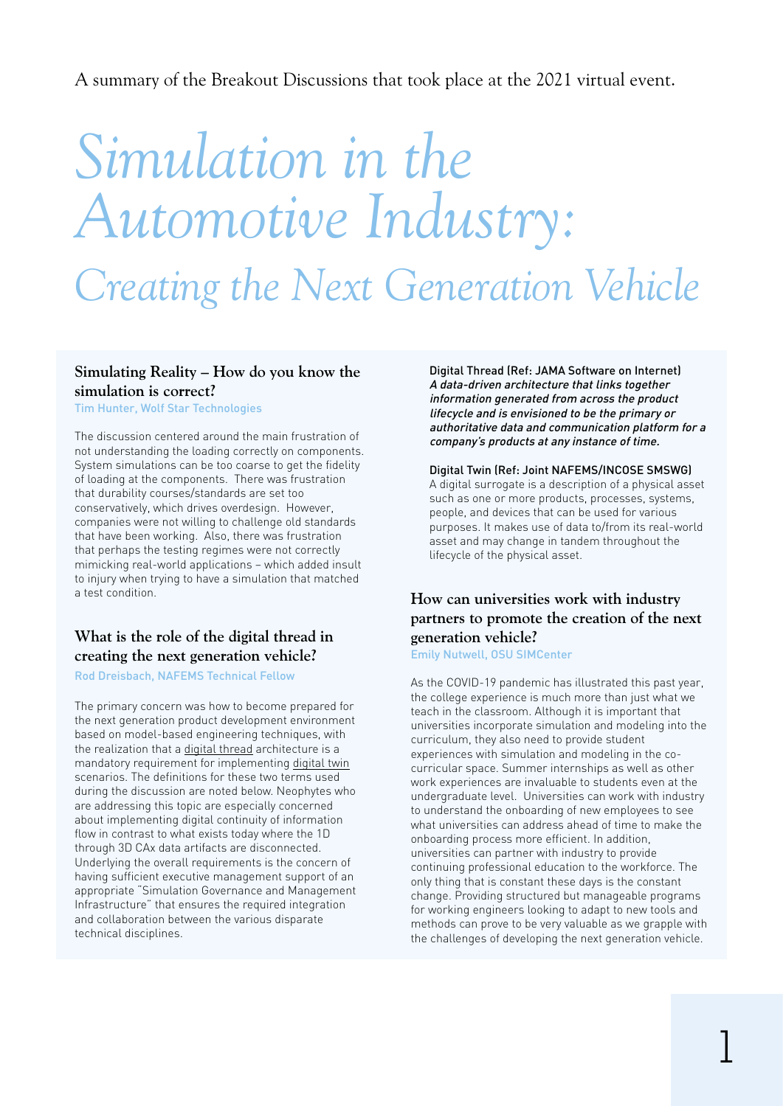A summary of the Breakout Discussions that took place at the 2021 virtual event.

# *Simulation in the Automotive Industry: Creating the Next Generation Vehicle*

#### **Simulating Reality – How do you know the simulation is correct?**

Tim Hunter, Wolf Star Technologies

The discussion centered around the main frustration of not understanding the loading correctly on components. System simulations can be too coarse to get the fidelity of loading at the components. There was frustration that durability courses/standards are set too conservatively, which drives overdesign. However, companies were not willing to challenge old standards that have been working. Also, there was frustration that perhaps the testing regimes were not correctly mimicking real-world applications – which added insult to injury when trying to have a simulation that matched a test condition.

#### **What is the role of the digital thread in creating the next generation vehicle?**

Rod Dreisbach, NAFEMS Technical Fellow

The primary concern was how to become prepared for the next generation product development environment based on model-based engineering techniques, with the realization that a digital thread architecture is a mandatory requirement for implementing digital twin scenarios. The definitions for these two terms used during the discussion are noted below. Neophytes who are addressing this topic are especially concerned about implementing digital continuity of information flow in contrast to what exists today where the 1D through 3D CAx data artifacts are disconnected. Underlying the overall requirements is the concern of having sufficient executive management support of an appropriate "Simulation Governance and Management Infrastructure" that ensures the required integration and collaboration between the various disparate technical disciplines.

Digital Thread (Ref: JAMA Software on Internet) A data-driven architecture that links together information generated from across the product lifecycle and is envisioned to be the primary or authoritative data and communication platform for a company's products at any instance of time.

#### Digital Twin (Ref: Joint NAFEMS/INCOSE SMSWG)

A digital surrogate is a description of a physical asset such as one or more products, processes, systems, people, and devices that can be used for various purposes. It makes use of data to/from its real-world asset and may change in tandem throughout the lifecycle of the physical asset.

#### **How can universities work with industry partners to promote the creation of the next generation vehicle?**

Emily Nutwell, OSU SIMCenter

As the COVID-19 pandemic has illustrated this past year, the college experience is much more than just what we teach in the classroom. Although it is important that universities incorporate simulation and modeling into the curriculum, they also need to provide student experiences with simulation and modeling in the cocurricular space. Summer internships as well as other work experiences are invaluable to students even at the undergraduate level. Universities can work with industry to understand the onboarding of new employees to see what universities can address ahead of time to make the onboarding process more efficient. In addition, universities can partner with industry to provide continuing professional education to the workforce. The only thing that is constant these days is the constant change. Providing structured but manageable programs for working engineers looking to adapt to new tools and methods can prove to be very valuable as we grapple with the challenges of developing the next generation vehicle.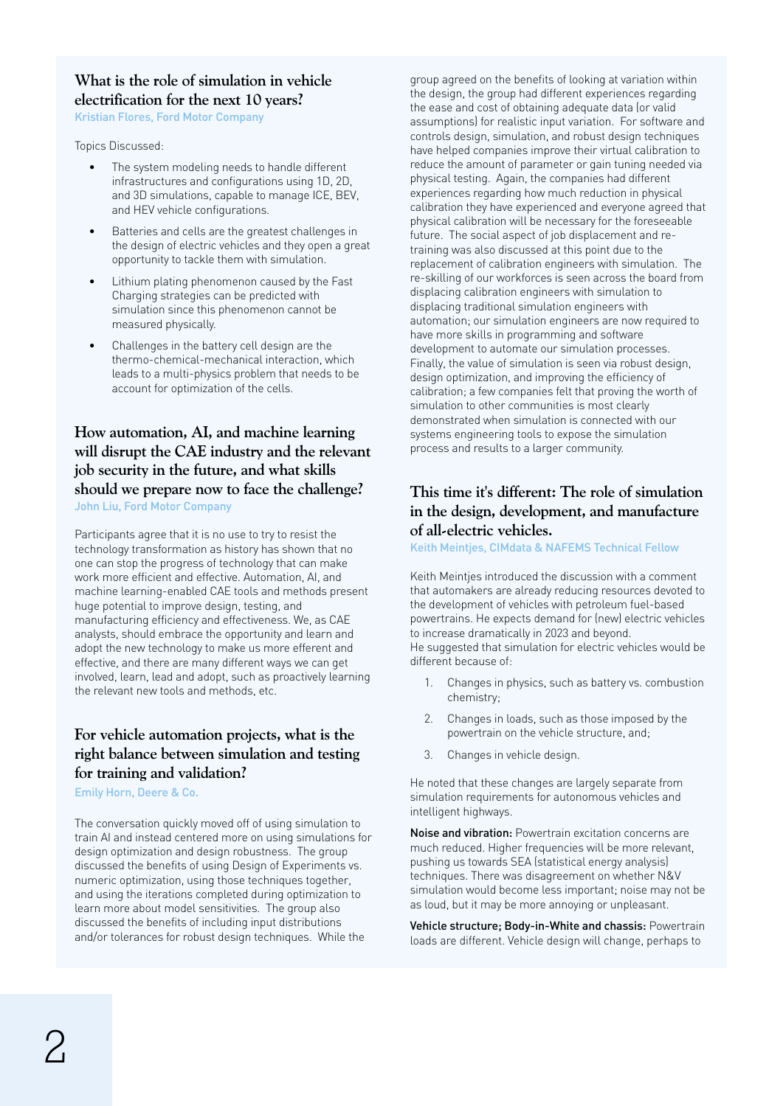# **What is the role of simulation in vehicle electrification for the next 10 years?**

Kristian Flores, Ford Motor Company

Topics Discussed:

- The system modeling needs to handle different infrastructures and configurations using 1D, 2D, and 3D simulations, capable to manage ICE, BEV, and HEV vehicle configurations.
- Batteries and cells are the greatest challenges in the design of electric vehicles and they open a great opportunity to tackle them with simulation.
- Lithium plating phenomenon caused by the Fast Charging strategies can be predicted with simulation since this phenomenon cannot be measured physically.
- Challenges in the battery cell design are the thermo-chemical-mechanical interaction, which leads to a multi-physics problem that needs to be account for optimization of the cells.

# **How automation, AI, and machine learning will disrupt the CAE industry and the relevant job security in the future, and what skills should we prepare now to face the challenge?**

John Liu, Ford Motor Company

Participants agree that it is no use to try to resist the technology transformation as history has shown that no one can stop the progress of technology that can make work more efficient and effective. Automation, AI, and machine learning-enabled CAE tools and methods present huge potential to improve design, testing, and manufacturing efficiency and effectiveness. We, as CAE analysts, should embrace the opportunity and learn and adopt the new technology to make us more efferent and effective, and there are many different ways we can get involved, learn, lead and adopt, such as proactively learning the relevant new tools and methods, etc.

#### **For vehicle automation projects, what is the right balance between simulation and testing for training and validation?**

Emily Horn, Deere & Co.

The conversation quickly moved off of using simulation to train AI and instead centered more on using simulations for design optimization and design robustness. The group discussed the benefits of using Design of Experiments vs. numeric optimization, using those techniques together, and using the iterations completed during optimization to learn more about model sensitivities. The group also discussed the benefits of including input distributions and/or tolerances for robust design techniques. While the

group agreed on the benefits of looking at variation within the design, the group had different experiences regarding the ease and cost of obtaining adequate data (or valid assumptions) for realistic input variation. For software and controls design, simulation, and robust design techniques have helped companies improve their virtual calibration to reduce the amount of parameter or gain tuning needed via physical testing. Again, the companies had different experiences regarding how much reduction in physical calibration they have experienced and everyone agreed that physical calibration will be necessary for the foreseeable future. The social aspect of job displacement and retraining was also discussed at this point due to the replacement of calibration engineers with simulation. The re-skilling of our workforces is seen across the board from displacing calibration engineers with simulation to displacing traditional simulation engineers with automation; our simulation engineers are now required to have more skills in programming and software development to automate our simulation processes. Finally, the value of simulation is seen via robust design, design optimization, and improving the efficiency of calibration; a few companies felt that proving the worth of simulation to other communities is most clearly demonstrated when simulation is connected with our systems engineering tools to expose the simulation process and results to a larger community.

#### **This time it's different: The role of simulation in the design, development, and manufacture of all-electric vehicles.**

Keith Meintjes, CIMdata & NAFEMS Technical Fellow

Keith Meintjes introduced the discussion with a comment that automakers are already reducing resources devoted to the development of vehicles with petroleum fuel-based powertrains. He expects demand for (new) electric vehicles to increase dramatically in 2023 and beyond. He suggested that simulation for electric vehicles would be different because of:

- 1. Changes in physics, such as battery vs. combustion chemistry;
- 2. Changes in loads, such as those imposed by the powertrain on the vehicle structure, and;
- 3. Changes in vehicle design.

He noted that these changes are largely separate from simulation requirements for autonomous vehicles and intelligent highways.

Noise and vibration: Powertrain excitation concerns are much reduced. Higher frequencies will be more relevant, pushing us towards SEA (statistical energy analysis) techniques. There was disagreement on whether N&V simulation would become less important; noise may not be as loud, but it may be more annoying or unpleasant.

Vehicle structure; Body-in-White and chassis: Powertrain loads are different. Vehicle design will change, perhaps to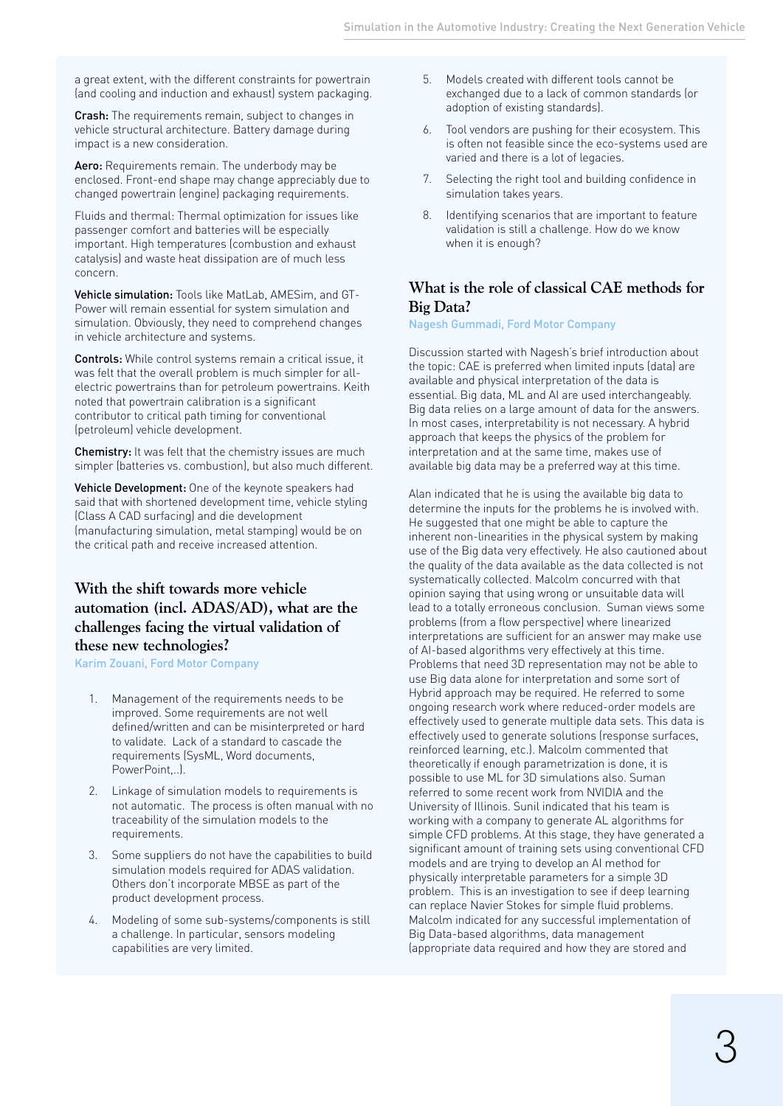a great extent, with the different constraints for powertrain (and cooling and induction and exhaust) system packaging.

Crash: The requirements remain, subject to changes in vehicle structural architecture. Battery damage during impact is a new consideration.

Aero: Requirements remain. The underbody may be enclosed. Front-end shape may change appreciably due to changed powertrain (engine) packaging requirements.

Fluids and thermal: Thermal optimization for issues like passenger comfort and batteries will be especially important. High temperatures (combustion and exhaust catalysis) and waste heat dissipation are of much less concern.

Vehicle simulation: Tools like MatLab, AMESim, and GT-Power will remain essential for system simulation and simulation. Obviously, they need to comprehend changes in vehicle architecture and systems.

Controls: While control systems remain a critical issue, it was felt that the overall problem is much simpler for allelectric powertrains than for petroleum powertrains. Keith noted that powertrain calibration is a significant contributor to critical path timing for conventional (petroleum) vehicle development.

Chemistry: It was felt that the chemistry issues are much simpler (batteries vs. combustion), but also much different.

Vehicle Development: One of the keynote speakers had said that with shortened development time, vehicle styling (Class A CAD surfacing) and die development (manufacturing simulation, metal stamping) would be on the critical path and receive increased attention.

#### **With the shift towards more vehicle automation (incl. ADAS/AD), what are the challenges facing the virtual validation of these new technologies?**

Karim Zouani, Ford Motor Company

- 1. Management of the requirements needs to be improved. Some requirements are not well defined/written and can be misinterpreted or hard to validate. Lack of a standard to cascade the requirements (SysML, Word documents, PowerPoint,..).
- 2. Linkage of simulation models to requirements is not automatic. The process is often manual with no traceability of the simulation models to the requirements.
- 3. Some suppliers do not have the capabilities to build simulation models required for ADAS validation. Others don't incorporate MBSE as part of the product development process.
- 4. Modeling of some sub-systems/components is still a challenge. In particular, sensors modeling capabilities are very limited.
- 5. Models created with different tools cannot be exchanged due to a lack of common standards (or adoption of existing standards).
- 6. Tool vendors are pushing for their ecosystem. This is often not feasible since the eco-systems used are varied and there is a lot of legacies.
- 7. Selecting the right tool and building confidence in simulation takes years.
- 8. Identifying scenarios that are important to feature validation is still a challenge. How do we know when it is enough?

### **What is the role of classical CAE methods for Big Data?**

Nagesh Gummadi, Ford Motor Company

Discussion started with Nagesh's brief introduction about the topic: CAE is preferred when limited inputs (data) are available and physical interpretation of the data is essential. Big data, ML and AI are used interchangeably. Big data relies on a large amount of data for the answers. In most cases, interpretability is not necessary. A hybrid approach that keeps the physics of the problem for interpretation and at the same time, makes use of available big data may be a preferred way at this time.

Alan indicated that he is using the available big data to determine the inputs for the problems he is involved with. He suggested that one might be able to capture the inherent non-linearities in the physical system by making use of the Big data very effectively. He also cautioned about the quality of the data available as the data collected is not systematically collected. Malcolm concurred with that opinion saying that using wrong or unsuitable data will lead to a totally erroneous conclusion. Suman views some problems (from a flow perspective) where linearized interpretations are sufficient for an answer may make use of AI-based algorithms very effectively at this time. Problems that need 3D representation may not be able to use Big data alone for interpretation and some sort of Hybrid approach may be required. He referred to some ongoing research work where reduced-order models are effectively used to generate multiple data sets. This data is effectively used to generate solutions (response surfaces, reinforced learning, etc.). Malcolm commented that theoretically if enough parametrization is done, it is possible to use ML for 3D simulations also. Suman referred to some recent work from NVIDIA and the University of Illinois. Sunil indicated that his team is working with a company to generate AL algorithms for simple CFD problems. At this stage, they have generated a significant amount of training sets using conventional CFD models and are trying to develop an AI method for physically interpretable parameters for a simple 3D problem. This is an investigation to see if deep learning can replace Navier Stokes for simple fluid problems. Malcolm indicated for any successful implementation of Big Data-based algorithms, data management (appropriate data required and how they are stored and